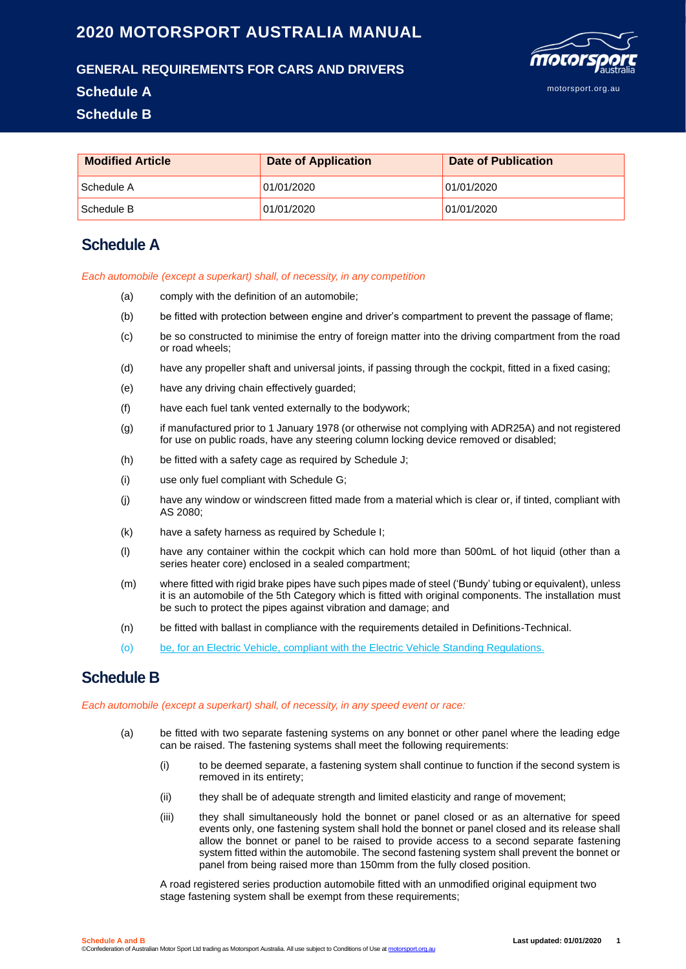# **2020 MOTORSPORT AUSTRALIA MANUAL**



#### **GENERAL REQUIREMENTS FOR CARS AND DRIVERS**

#### **Schedule A**

**Schedule B**

| <b>Modified Article</b> | <b>Date of Application</b> | Date of Publication |
|-------------------------|----------------------------|---------------------|
| Schedule A              | 01/01/2020                 | 01/01/2020          |
| Schedule B              | 01/01/2020                 | 01/01/2020          |

## **Schedule A**

*Each automobile (except a superkart) shall, of necessity, in any competition*

- (a) comply with the definition of an automobile;
- (b) be fitted with protection between engine and driver's compartment to prevent the passage of flame;
- (c) be so constructed to minimise the entry of foreign matter into the driving compartment from the road or road wheels;
- (d) have any propeller shaft and universal joints, if passing through the cockpit, fitted in a fixed casing;
- (e) have any driving chain effectively guarded;
- (f) have each fuel tank vented externally to the bodywork;
- (g) if manufactured prior to 1 January 1978 (or otherwise not complying with ADR25A) and not registered for use on public roads, have any steering column locking device removed or disabled;
- (h) be fitted with a safety cage as required by Schedule J;
- (i) use only fuel compliant with Schedule G;
- (j) have any window or windscreen fitted made from a material which is clear or, if tinted, compliant with AS 2080;
- (k) have a safety harness as required by Schedule I;
- (l) have any container within the cockpit which can hold more than 500mL of hot liquid (other than a series heater core) enclosed in a sealed compartment;
- (m) where fitted with rigid brake pipes have such pipes made of steel ('Bundy' tubing or equivalent), unless it is an automobile of the 5th Category which is fitted with original components. The installation must be such to protect the pipes against vibration and damage; and
- (n) be fitted with ballast in compliance with the requirements detailed in Definitions-Technical.
- (o) be, for an Electric Vehicle, compliant with the Electric Vehicle Standing Regulations.

### **Schedule B**

*Each automo*b*ile (except a superkart) shall, of necessity, in any speed event or race:*

- (a) be fitted with two separate fastening systems on any bonnet or other panel where the leading edge can be raised. The fastening systems shall meet the following requirements:
	- (i) to be deemed separate, a fastening system shall continue to function if the second system is removed in its entirety;
	- (ii) they shall be of adequate strength and limited elasticity and range of movement;
	- (iii) they shall simultaneously hold the bonnet or panel closed or as an alternative for speed events only, one fastening system shall hold the bonnet or panel closed and its release shall allow the bonnet or panel to be raised to provide access to a second separate fastening system fitted within the automobile. The second fastening system shall prevent the bonnet or panel from being raised more than 150mm from the fully closed position.

A road registered series production automobile fitted with an unmodified original equipment two stage fastening system shall be exempt from these requirements;